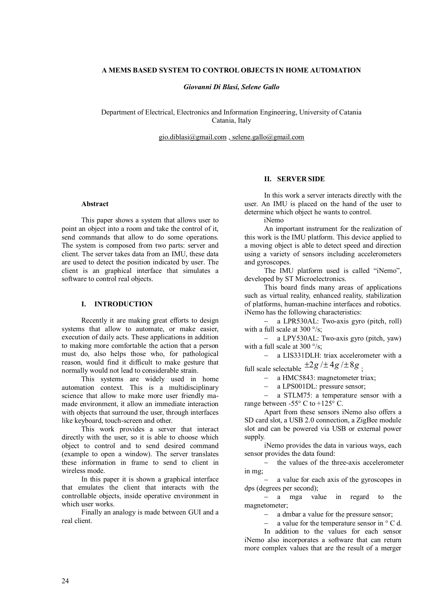## **A MEMS BASED SYSTEM TO CONTROL OBJECTS IN HOME AUTOMATION**

*Giovanni Di Blasi, Selene Gallo* 

Department of Electrical, Electronics and Information Engineering, University of Catania Catania, Italy

gio.diblasi@gmail.com , selene.gallo@gmail.com

#### **Abstract**

This paper shows a system that allows user to point an object into a room and take the control of it, send commands that allow to do some operations. The system is composed from two parts: server and client. The server takes data from an IMU, these data are used to detect the position indicated by user. The client is an graphical interface that simulates a software to control real objects.

### **I. INTRODUCTION**

Recently it are making great efforts to design systems that allow to automate, or make easier, execution of daily acts. These applications in addition to making more comfortable the action that a person must do, also helps those who, for pathological reason, would find it difficult to make gesture that normally would not lead to considerable strain.

This systems are widely used in home automation context. This is a multidisciplinary science that allow to make more user friendly mamade environment, it allow an immediate interaction with objects that surround the user, through interfaces like keyboard, touch-screen and other.

This work provides a server that interact directly with the user, so it is able to choose which object to control and to send desired command (example to open a window). The server translates these information in frame to send to client in wireless mode.

In this paper it is shown a graphical interface that emulates the client that interacts with the controllable objects, inside operative environment in which user works.

Finally an analogy is made between GUI and a real client.

# **II. SERVER SIDE**

In this work a server interacts directly with the user. An IMU is placed on the hand of the user to determine which object he wants to control.

iNemo

An important instrument for the realization of this work is the IMU platform. This device applied to a moving object is able to detect speed and direction using a variety of sensors including accelerometers and gyroscopes.

The IMU platform used is called "iNemo", developed by ST Microelectronics.

This board finds many areas of applications such as virtual reality, enhanced reality, stabilization of platforms, human-machine interfaces and robotics. iNemo has the following characteristics:

 a LPR530AL: Two-axis gyro (pitch, roll) with a full scale at 300  $\degree$ /s;

 a LPY530AL: Two-axis gyro (pitch, yaw) with a full scale at 300  $\degree$ /s;

 a LIS331DLH: triax accelerometer with a full scale selectable  $\pm 2g/\pm 4g/\pm 8g$  ;

a HMC5843: magnetometer triax;

- a LPS001DL: pressure sensor;

 a STLM75: a temperature sensor with a range between -55° C to +125° C.

Apart from these sensors iNemo also offers a SD card slot, a USB 2.0 connection, a ZigBee module slot and can be powered via USB or external power supply.

iNemo provides the data in various ways, each sensor provides the data found:

 the values of the three-axis accelerometer in mg;

- a value for each axis of the gyroscopes in dps (degrees per second);

- a mga value in regard to the magnetometer;

a dmbar a value for the pressure sensor;

a value for the temperature sensor in ° C d.

In addition to the values for each sensor iNemo also incorporates a software that can return more complex values that are the result of a merger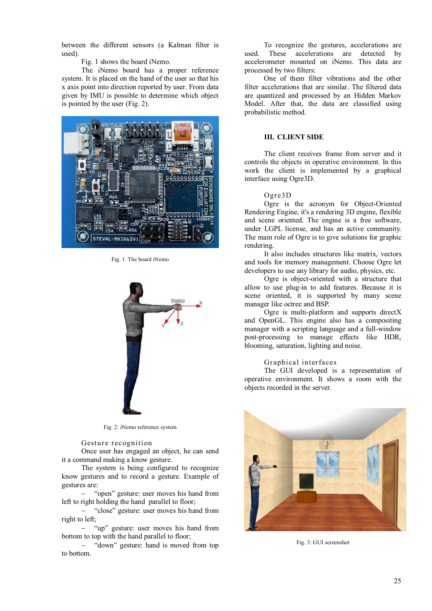between the different sensors (a Kalman filter is used).

Fig. 1 shows the board iNemo.

The iNemo board has a proper reference system. It is placed on the hand of the user so that his x axis point into direction reported by user. From data given by IMU is possible to determine which object is pointed by the user (Fig. 2).



Fig. 1. The board iNemo



Fig. 2: iNemo reference system

Gesture recognition

Once user has engaged an object, he can send it a command making a know gesture.

The system is being configured to recognize know gestures and to record a gesture. Example of gestures are:

 "open" gesture: user moves his hand from left to right holding the hand parallel to floor;

- "close" gesture: user moves his hand from right to left;

"up" gesture: user moves his hand from bottom to top with the hand parallel to floor;

- "down" gesture: hand is moved from top to bottom.

To recognize the gestures, accelerations are used. These accelerations are detected by accelerometer mounted on iNemo. This data are processed by two filters:

One of them filter vibrations and the other filter accelerations that are similar. The filtered data are quantized and processed by an Hidden Markov Model. After that, the data are classified using probabilistic method.

### **III. CLIENT SIDE**

The client receives frame from server and it controls the objects in operative environment. In this work the client is implemented by a graphical interface using Ogre3D.

### Ogre3D

Ogre is the acronym for Object-Oriented Rendering Engine, it's a rendering 3D engine, flexible and scene oriented. The engine is a free software, under LGPL license, and has an active community. The main role of Ogre is to give solutions for graphic rendering.

It also includes structures like matrix, vectors and tools for memory management. Choose Ogre let developers to use any library for audio, physics, etc.

Ogre is object-oriented with a structure that allow to use plug-in to add features. Because it is scene oriented, it is supported by many scene manager like octree and BSP.

Ogre is multi-platform and supports directX and OpenGL. This engine also has a compositing manager with a scripting language and a full-window post-processing to manage effects like HDR, blooming, saturation, lighting and noise.

### Graphical interfaces

The GUI developed is a representation of operative environment. It shows a room with the objects recorded in the server.



Fig. 3: GUI screenshot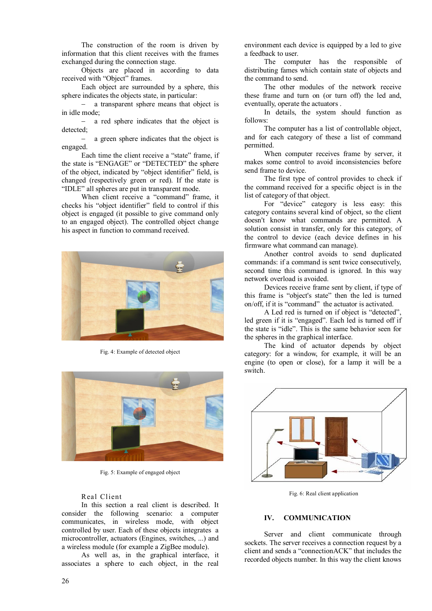The construction of the room is driven by information that this client receives with the frames exchanged during the connection stage.

Objects are placed in according to data received with "Object" frames.

Each object are surrounded by a sphere, this sphere indicates the objects state, in particular:

 a transparent sphere means that object is in idle mode;

 a red sphere indicates that the object is detected;

 a green sphere indicates that the object is engaged.

Each time the client receive a "state" frame, if the state is "ENGAGE" or "DETECTED" the sphere of the object, indicated by "object identifier" field, is changed (respectively green or red). If the state is "IDLE" all spheres are put in transparent mode.

When client receive a "command" frame, it checks his "object identifier" field to control if this object is engaged (it possible to give command only to an engaged object). The controlled object change his aspect in function to command received.



Fig. 4: Example of detected object



Fig. 5: Example of engaged object

## Real Client

In this section a real client is described. It consider the following scenario: a computer communicates, in wireless mode, with object controlled by user. Each of these objects integrates a microcontroller, actuators (Engines, switches, ...) and a wireless module (for example a ZigBee module).

As well as, in the graphical interface, it associates a sphere to each object, in the real

environment each device is equipped by a led to give a feedback to user.

The computer has the responsible of distributing fames which contain state of objects and the command to send.

The other modules of the network receive these frame and turn on (or turn off) the led and, eventually, operate the actuators .

In details, the system should function as follows:

The computer has a list of controllable object, and for each category of these a list of command permitted.

When computer receives frame by server, it makes some control to avoid inconsistencies before send frame to device.

The first type of control provides to check if the command received for a specific object is in the list of category of that object.

For "device" category is less easy: this category contains several kind of object, so the client doesn't know what commands are permitted. A solution consist in transfer, only for this category, of the control to device (each device defines in his firmware what command can manage).

Another control avoids to send duplicated commands: if a command is sent twice consecutively, second time this command is ignored. In this way network overload is avoided.

Devices receive frame sent by client, if type of this frame is "object's state" then the led is turned on/off, if it is "command" the actuator is activated.

A Led red is turned on if object is "detected", led green if it is "engaged". Each led is turned off if the state is "idle". This is the same behavior seen for the spheres in the graphical interface.

The kind of actuator depends by object category: for a window, for example, it will be an engine (to open or close), for a lamp it will be a switch.



Fig. 6: Real client application

### **IV. COMMUNICATION**

Server and client communicate through sockets. The server receives a connection request by a client and sends a "connectionACK" that includes the recorded objects number. In this way the client knows